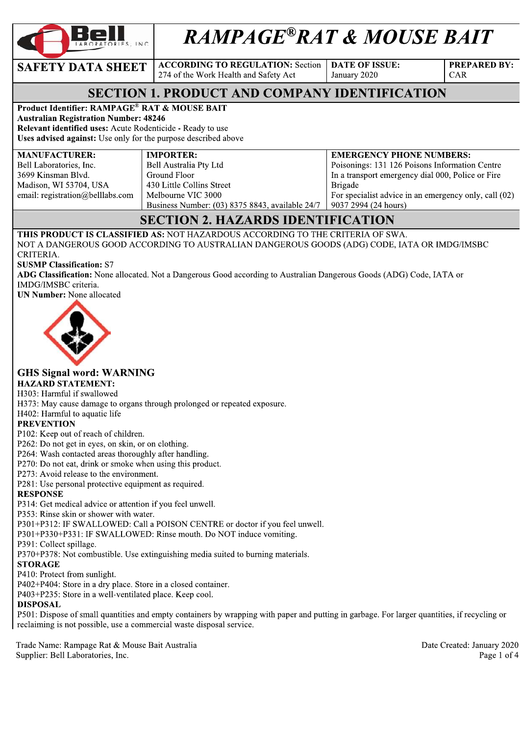

# RAMPAGE®RAT & MOUSE BAIT

### **SAFETY DATA SHEET**

**ACCORDING TO REGULATION: Section** 274 of the Work Health and Safety Act

**DATE OF ISSUE:** January 2020

**PREPARED BY:** CAR

**SECTION 1. PRODUCT AND COMPANY IDENTIFICATION** 

Product Identifier: RAMPAGE® RAT & MOUSE BAIT

**Australian Registration Number: 48246** 

Relevant identified uses: Acute Rodenticide - Ready to use Uses advised against: Use only for the purpose described above

| <b>MANUFACTURER:</b>             | <b>IMPORTER:</b>                                | <b>EMERGENCY PHONE NUMBERS:</b>                       |
|----------------------------------|-------------------------------------------------|-------------------------------------------------------|
| Bell Laboratories, Inc.          | Bell Australia Pty Ltd                          | Poisonings: 131 126 Poisons Information Centre        |
| 3699 Kinsman Blvd.               | Ground Floor                                    | In a transport emergency dial 000, Police or Fire     |
| Madison, WI 53704, USA           | 430 Little Collins Street                       | Brigade                                               |
| email: registration@belllabs.com | Melbourne VIC 3000                              | For specialist advice in an emergency only, call (02) |
|                                  | Business Number: (03) 8375 8843, available 24/7 | 9037 2994 (24 hours)                                  |

### **SECTION 2. HAZARDS IDENTIFICATION**

#### THIS PRODUCT IS CLASSIFIED AS: NOT HAZARDOUS ACCORDING TO THE CRITERIA OF SWA. NOT A DANGEROUS GOOD ACCORDING TO AUSTRALIAN DANGEROUS GOODS (ADG) CODE, IATA OR IMDG/IMSBC CRITERIA.

#### **SUSMP Classification: S7**

ADG Classification: None allocated. Not a Dangerous Good according to Australian Dangerous Goods (ADG) Code, IATA or IMDG/IMSBC criteria.

#### **UN Number:** None allocated



### **GHS Signal word: WARNING**

#### **HAZARD STATEMENT:**

H303: Harmful if swallowed

H373: May cause damage to organs through prolonged or repeated exposure.

H402: Harmful to aquatic life

#### **PREVENTION**

P102: Keep out of reach of children.

P262: Do not get in eves, on skin, or on clothing.

P264: Wash contacted areas thoroughly after handling.

P270: Do not eat, drink or smoke when using this product.

P273: Avoid release to the environment.

P281: Use personal protective equipment as required.

#### **RESPONSE**

P314: Get medical advice or attention if you feel unwell.

P353: Rinse skin or shower with water.

P301+P312: IF SWALLOWED: Call a POISON CENTRE or doctor if you feel unwell.

P301+P330+P331: IF SWALLOWED: Rinse mouth. Do NOT induce vomiting.

P391: Collect spillage.

P370+P378: Not combustible. Use extinguishing media suited to burning materials.

#### **STORAGE**

P410: Protect from sunlight.

P402+P404: Store in a dry place. Store in a closed container.

P403+P235: Store in a well-ventilated place. Keep cool.

#### **DISPOSAL**

P501: Dispose of small quantities and empty containers by wrapping with paper and putting in garbage. For larger quantities, if recycling or reclaiming is not possible, use a commercial waste disposal service.

Trade Name: Rampage Rat & Mouse Bait Australia Supplier: Bell Laboratories, Inc.

Date Created: January 2020 Page 1 of 4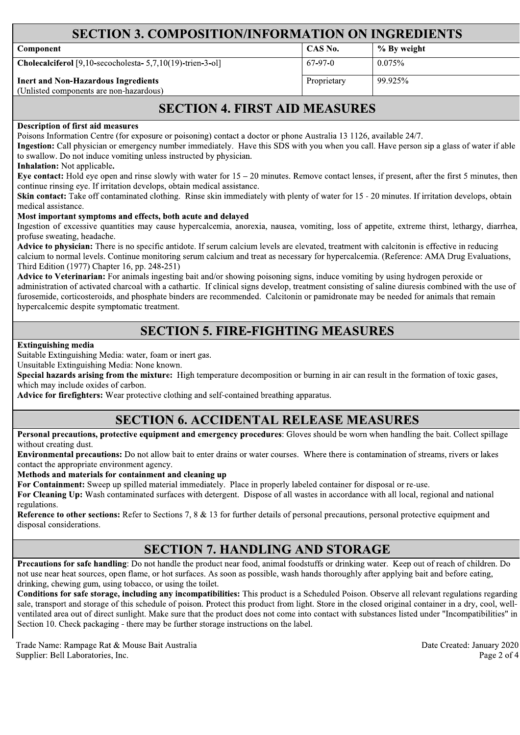### **SECTION 3. COMPOSITION/INFORMATION ON INGREDIENTS**

| <u>NEU ELUI DI UUILI UNIIRUI ILI UIRILII ILUI UI ILIURIE ELI</u>                      |             |             |  |
|---------------------------------------------------------------------------------------|-------------|-------------|--|
| Component                                                                             | CAS No.     | % By weight |  |
| <b>Cholecalciferol</b> [9,10-secocholesta- $5,7,10(19)$ -trien-3-ol]                  | 67-97-0     | 0.075%      |  |
| <b>Inert and Non-Hazardous Ingredients</b><br>(Unlisted components are non-hazardous) | Proprietary | 99.925%     |  |
|                                                                                       |             |             |  |

### **SECTION 4. FIRST AID MEASURES**

#### **Description of first aid measures**

Poisons Information Centre (for exposure or poisoning) contact a doctor or phone Australia 13 1126, available 24/7.

Ingestion: Call physician or emergency number immediately. Have this SDS with you when you call. Have person sip a glass of water if able to swallow. Do not induce vomiting unless instructed by physician.

Inhalation: Not applicable.

Eye contact: Hold eye open and rinse slowly with water for  $15 - 20$  minutes. Remove contact lenses, if present, after the first 5 minutes, then continue rinsing eye. If irritation develops, obtain medical assistance.

Skin contact: Take off contaminated clothing. Rinse skin immediately with plenty of water for 15 - 20 minutes. If irritation develops, obtain medical assistance.

#### Most important symptoms and effects, both acute and delayed

Ingestion of excessive quantities may cause hypercalcemia, anorexia, nausea, vomiting, loss of appetite, extreme thirst, lethargy, diarrhea, profuse sweating, headache.

Advice to physician: There is no specific antidote. If serum calcium levels are elevated, treatment with calcitonin is effective in reducing calcium to normal levels. Continue monitoring serum calcium and treat as necessary for hypercalcemia. (Reference: AMA Drug Evaluations, Third Edition (1977) Chapter 16, pp. 248-251)

Advice to Veterinarian: For animals ingesting bait and/or showing poisoning signs, induce vomiting by using hydrogen peroxide or administration of activated charcoal with a cathartic. If clinical signs develop, treatment consisting of saline diuresis combined with the use of furosemide, corticosteroids, and phosphate binders are recommended. Calcitonin or pamidronate may be needed for animals that remain hypercalcemic despite symptomatic treatment.

### **SECTION 5. FIRE-FIGHTING MEASURES**

**Extinguishing media** 

Suitable Extinguishing Media: water, foam or inert gas.

Unsuitable Extinguishing Media: None known.

Special hazards arising from the mixture: High temperature decomposition or burning in air can result in the formation of toxic gases, which may include oxides of carbon.

Advice for firefighters: Wear protective clothing and self-contained breathing apparatus.

### **SECTION 6. ACCIDENTAL RELEASE MEASURES**

Personal precautions, protective equipment and emergency procedures: Gloves should be worn when handling the bait. Collect spillage without creating dust.

Environmental precautions: Do not allow bait to enter drains or water courses. Where there is contamination of streams, rivers or lakes contact the appropriate environment agency.

Methods and materials for containment and cleaning up

For Containment: Sweep up spilled material immediately. Place in properly labeled container for disposal or re-use.

For Cleaning Up: Wash contaminated surfaces with detergent. Dispose of all wastes in accordance with all local, regional and national regulations.

**Reference to other sections:** Refer to Sections 7, 8 & 13 for further details of personal precautions, personal protective equipment and disposal considerations.

### **SECTION 7. HANDLING AND STORAGE**

**Precautions for safe handling:** Do not handle the product near food, animal foodstuffs or drinking water. Keep out of reach of children. Do not use near heat sources, open flame, or hot surfaces. As soon as possible, wash hands thoroughly after applying bait and before eating, drinking, chewing gum, using tobacco, or using the toilet.

Conditions for safe storage, including any incompatibilities: This product is a Scheduled Poison. Observe all relevant regulations regarding sale, transport and storage of this schedule of poison. Protect this product from light. Store in the closed original container in a dry, cool, wellventilated area out of direct sunlight. Make sure that the product does not come into contact with substances listed under "Incompatibilities" in Section 10. Check packaging - there may be further storage instructions on the label.

Trade Name: Rampage Rat & Mouse Bait Australia Supplier: Bell Laboratories, Inc.

Date Created: January 2020 Page 2 of 4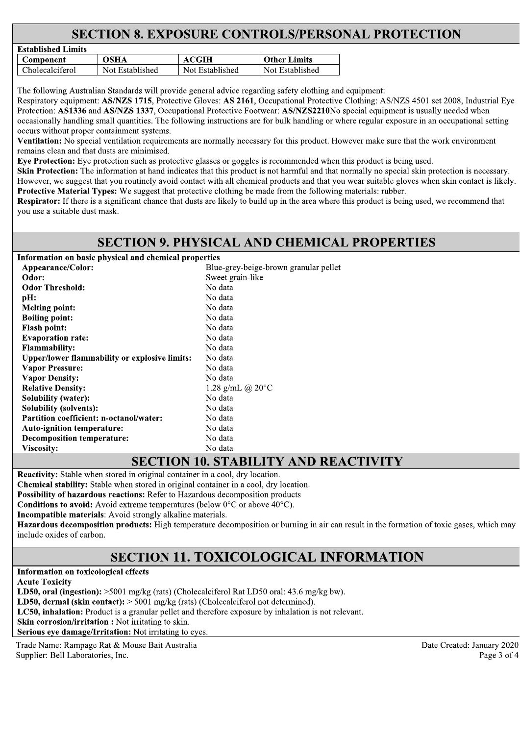### **SECTION 8. EXPOSURE CONTROLS/PERSONAL PROTECTION**

| <b>Established Limits</b> |                 |                 |                     |
|---------------------------|-----------------|-----------------|---------------------|
| Component                 | OSHA            | ACGIH           | <b>Other Limits</b> |
| <b>Cholecalciferol</b>    | Not Established | Not Established | Not Established     |

The following Australian Standards will provide general advice regarding safety clothing and equipment:

Respiratory equipment: AS/NZS 1715, Protective Gloves: AS 2161, Occupational Protective Clothing: AS/NZS 4501 set 2008, Industrial Eye Protection: AS1336 and AS/NZS 1337, Occupational Protective Footwear: AS/NZS2210No special equipment is usually needed when occasionally handling small quantities. The following instructions are for bulk handling or where regular exposure in an occupational setting occurs without proper containment systems.

Ventilation: No special ventilation requirements are normally necessary for this product. However make sure that the work environment remains clean and that dusts are minimised.

Eye Protection: Eye protection such as protective glasses or goggles is recommended when this product is being used.

Skin Protection: The information at hand indicates that this product is not harmful and that normally no special skin protection is necessary. However, we suggest that you routinely avoid contact with all chemical products and that you wear suitable gloves when skin contact is likely. **Protective Material Types:** We suggest that protective clothing be made from the following materials: rubber.

**Respirator:** If there is a significant chance that dusts are likely to build up in the area where this product is being used, we recommend that vou use a suitable dust mask.

### **SECTION 9. PHYSICAL AND CHEMICAL PROPERTIES**

Information on basic physical and chemical properties

| Appearance/Color:                                    | Blue-grey-beige-brown granular pellet |
|------------------------------------------------------|---------------------------------------|
| Odor:                                                | Sweet grain-like                      |
| <b>Odor Threshold:</b>                               | No data                               |
| pH:                                                  | No data                               |
| <b>Melting point:</b>                                | No data                               |
| <b>Boiling point:</b>                                | No data                               |
| <b>Flash point:</b>                                  | No data                               |
| <b>Evaporation rate:</b>                             | No data                               |
| <b>Flammability:</b>                                 | No data                               |
| <b>Upper/lower flammability or explosive limits:</b> | No data                               |
| <b>Vapor Pressure:</b>                               | No data                               |
| <b>Vapor Density:</b>                                | No data                               |
| <b>Relative Density:</b>                             | 1.28 g/mL @ $20^{\circ}$ C            |
| <b>Solubility (water):</b>                           | No data                               |
| <b>Solubility (solvents):</b>                        | No data                               |
| Partition coefficient: n-octanol/water:              | No data                               |
| <b>Auto-ignition temperature:</b>                    | No data                               |
| <b>Decomposition temperature:</b>                    | No data                               |
| <b>Viscositv:</b>                                    | No data                               |

### **SECTION 10. STABILITY AND REACTIVITY**

**Reactivity:** Stable when stored in original container in a cool, dry location.

Chemical stability: Stable when stored in original container in a cool, dry location.

Possibility of hazardous reactions: Refer to Hazardous decomposition products

**Conditions to avoid:** Avoid extreme temperatures (below  $0^{\circ}$ C or above  $40^{\circ}$ C).

**Incompatible materials:** Avoid strongly alkaline materials.

Hazardous decomposition products: High temperature decomposition or burning in air can result in the formation of toxic gases, which may include oxides of carbon.

## **SECTION 11. TOXICOLOGICAL INFORMATION**

Information on toxicological effects

**Acute Toxicity** 

**LD50, oral (ingestion):**  $>5001$  mg/kg (rats) (Cholecalciferol Rat LD50 oral: 43.6 mg/kg bw).

**LD50, dermal (skin contact):**  $>$  5001 mg/kg (rats) (Cholecalciferol not determined).

LC50, inhalation: Product is a granular pellet and therefore exposure by inhalation is not relevant.

Skin corrosion/irritation : Not irritating to skin.

Serious eye damage/Irritation: Not irritating to eyes.

Trade Name: Rampage Rat & Mouse Bait Australia Supplier: Bell Laboratories, Inc.

Date Created: January 2020 Page 3 of 4